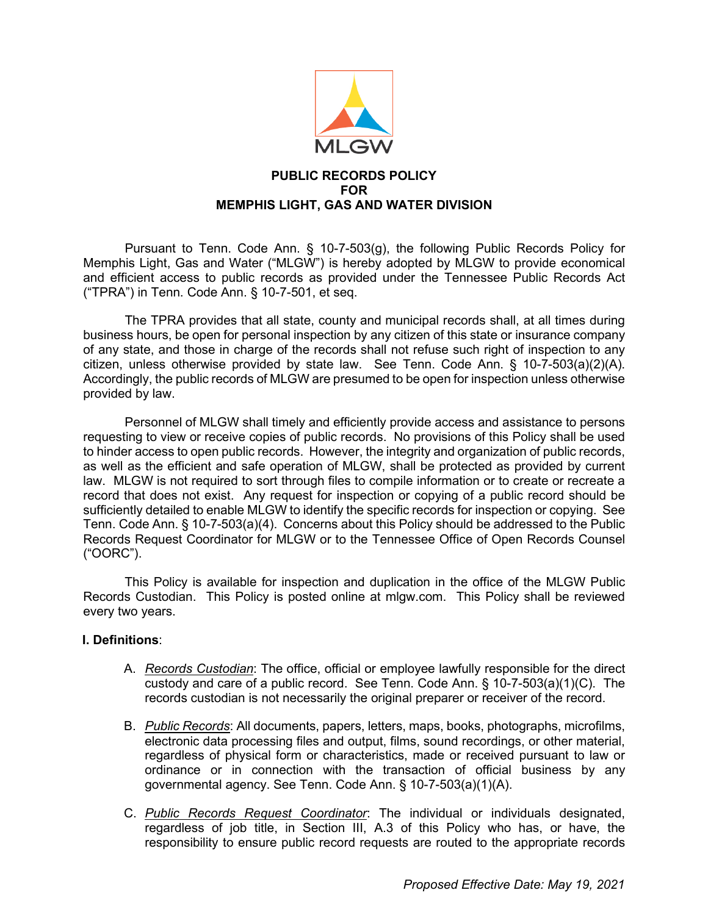

## **PUBLIC RECORDS POLICY FOR MEMPHIS LIGHT, GAS AND WATER DIVISION**

Pursuant to Tenn. Code Ann. § 10-7-503(g), the following Public Records Policy for Memphis Light, Gas and Water ("MLGW") is hereby adopted by MLGW to provide economical and efficient access to public records as provided under the Tennessee Public Records Act ("TPRA") in Tenn. Code Ann. § 10-7-501, et seq.

The TPRA provides that all state, county and municipal records shall, at all times during business hours, be open for personal inspection by any citizen of this state or insurance company of any state, and those in charge of the records shall not refuse such right of inspection to any citizen, unless otherwise provided by state law. See Tenn. Code Ann. § 10-7-503(a)(2)(A). Accordingly, the public records of MLGW are presumed to be open for inspection unless otherwise provided by law.

Personnel of MLGW shall timely and efficiently provide access and assistance to persons requesting to view or receive copies of public records. No provisions of this Policy shall be used to hinder access to open public records. However, the integrity and organization of public records, as well as the efficient and safe operation of MLGW, shall be protected as provided by current law. MLGW is not required to sort through files to compile information or to create or recreate a record that does not exist. Any request for inspection or copying of a public record should be sufficiently detailed to enable MLGW to identify the specific records for inspection or copying. See Tenn. Code Ann. § 10-7-503(a)(4). Concerns about this Policy should be addressed to the Public Records Request Coordinator for MLGW or to the Tennessee Office of Open Records Counsel ("OORC").

This Policy is available for inspection and duplication in the office of the MLGW Public Records Custodian. This Policy is posted online at mlgw.com. This Policy shall be reviewed every two years.

## **I. Definitions**:

- A. *Records Custodian*: The office, official or employee lawfully responsible for the direct custody and care of a public record. See Tenn. Code Ann. § 10-7-503(a)(1)(C). The records custodian is not necessarily the original preparer or receiver of the record.
- B. *Public Records*: All documents, papers, letters, maps, books, photographs, microfilms, electronic data processing files and output, films, sound recordings, or other material, regardless of physical form or characteristics, made or received pursuant to law or ordinance or in connection with the transaction of official business by any governmental agency. See Tenn. Code Ann. § 10-7-503(a)(1)(A).
- C. *Public Records Request Coordinator*: The individual or individuals designated, regardless of job title, in Section III, A.3 of this Policy who has, or have, the responsibility to ensure public record requests are routed to the appropriate records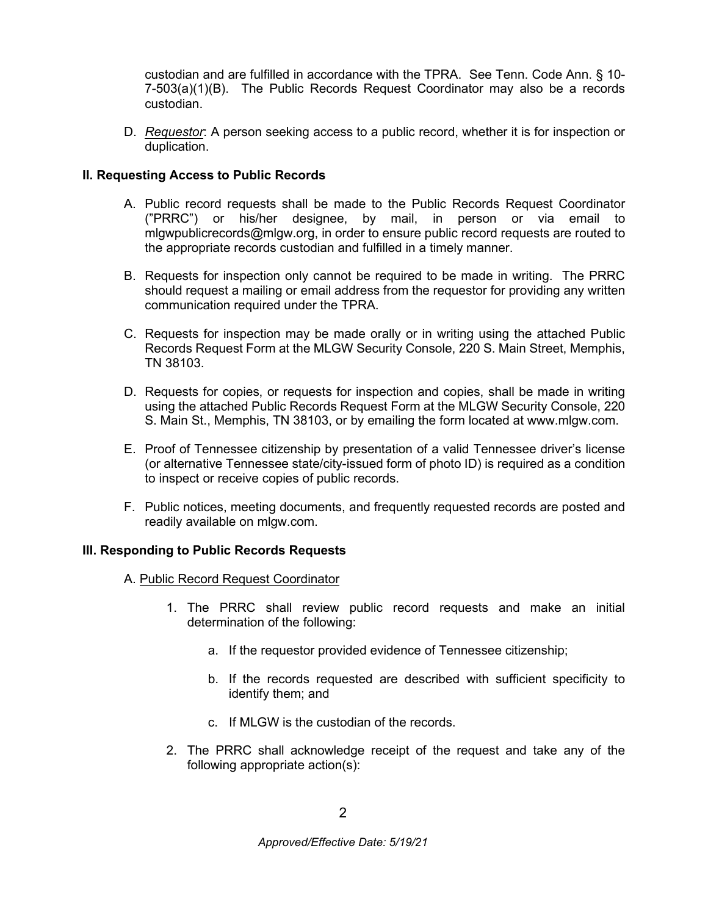custodian and are fulfilled in accordance with the TPRA. See Tenn. Code Ann. § 10- 7-503(a)(1)(B). The Public Records Request Coordinator may also be a records custodian.

D. *Requestor*: A person seeking access to a public record, whether it is for inspection or duplication.

# **II. Requesting Access to Public Records**

- A. Public record requests shall be made to the Public Records Request Coordinator ("PRRC") or his/her designee, by mail, in person or via email to mlgwpublicrecords@mlgw.org, in order to ensure public record requests are routed to the appropriate records custodian and fulfilled in a timely manner.
- B. Requests for inspection only cannot be required to be made in writing. The PRRC should request a mailing or email address from the requestor for providing any written communication required under the TPRA.
- C. Requests for inspection may be made orally or in writing using the attached Public Records Request Form at the MLGW Security Console, 220 S. Main Street, Memphis, TN 38103.
- D. Requests for copies, or requests for inspection and copies, shall be made in writing using the attached Public Records Request Form at the MLGW Security Console, 220 S. Main St., Memphis, TN 38103, or by emailing the form located at www.mlgw.com.
- E. Proof of Tennessee citizenship by presentation of a valid Tennessee driver's license (or alternative Tennessee state/city-issued form of photo ID) is required as a condition to inspect or receive copies of public records.
- F. Public notices, meeting documents, and frequently requested records are posted and readily available on mlgw.com.

## **III. Responding to Public Records Requests**

- A. Public Record Request Coordinator
	- 1. The PRRC shall review public record requests and make an initial determination of the following:
		- a. If the requestor provided evidence of Tennessee citizenship;
		- b. If the records requested are described with sufficient specificity to identify them; and
		- c. If MLGW is the custodian of the records.
	- 2. The PRRC shall acknowledge receipt of the request and take any of the following appropriate action(s):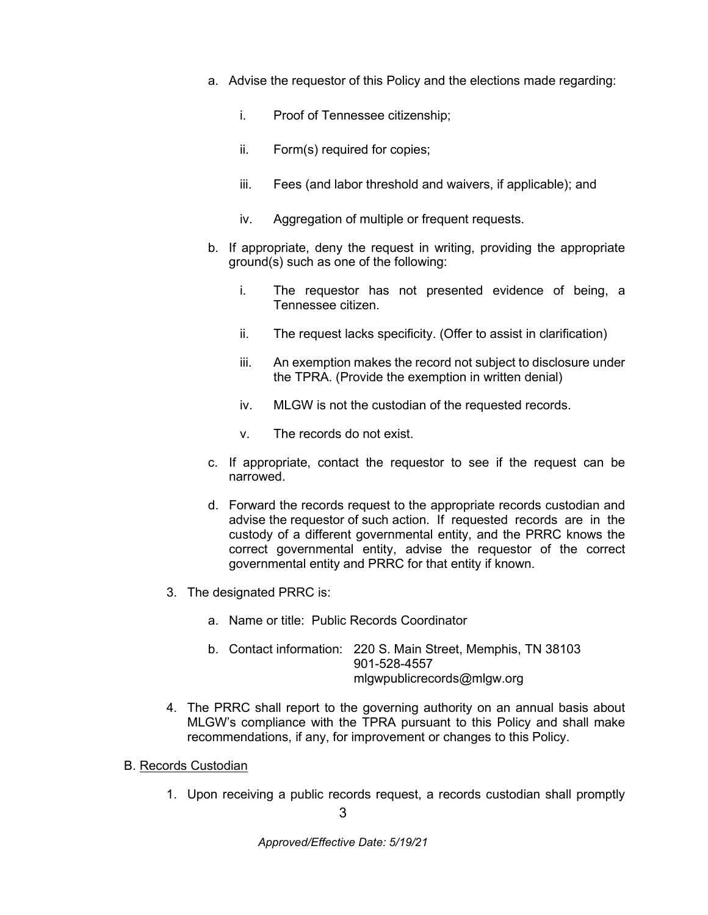- a. Advise the requestor of this Policy and the elections made regarding:
	- i. Proof of Tennessee citizenship;
	- ii. Form(s) required for copies;
	- iii. Fees (and labor threshold and waivers, if applicable); and
	- iv. Aggregation of multiple or frequent requests.
- b. If appropriate, deny the request in writing, providing the appropriate ground(s) such as one of the following:
	- i. The requestor has not presented evidence of being, a Tennessee citizen.
	- ii. The request lacks specificity. (Offer to assist in clarification)
	- iii. An exemption makes the record not subject to disclosure under the TPRA. (Provide the exemption in written denial)
	- iv. MLGW is not the custodian of the requested records.
	- v. The records do not exist.
- c. If appropriate, contact the requestor to see if the request can be narrowed.
- d. Forward the records request to the appropriate records custodian and advise the requestor of such action. If requested records are in the custody of a different governmental entity, and the PRRC knows the correct governmental entity, advise the requestor of the correct governmental entity and PRRC for that entity if known.
- 3. The designated PRRC is:
	- a. Name or title: Public Records Coordinator
	- b. Contact information: 220 S. Main Street, Memphis, TN 38103 901-528-4557 [mlgwpublicrecords@mlgw.org](mailto:mlgwpublicrecords@mlgw.org)
- 4. The PRRC shall report to the governing authority on an annual basis about MLGW's compliance with the TPRA pursuant to this Policy and shall make recommendations, if any, for improvement or changes to this Policy.
- B. Records Custodian
	- 1. Upon receiving a public records request, a records custodian shall promptly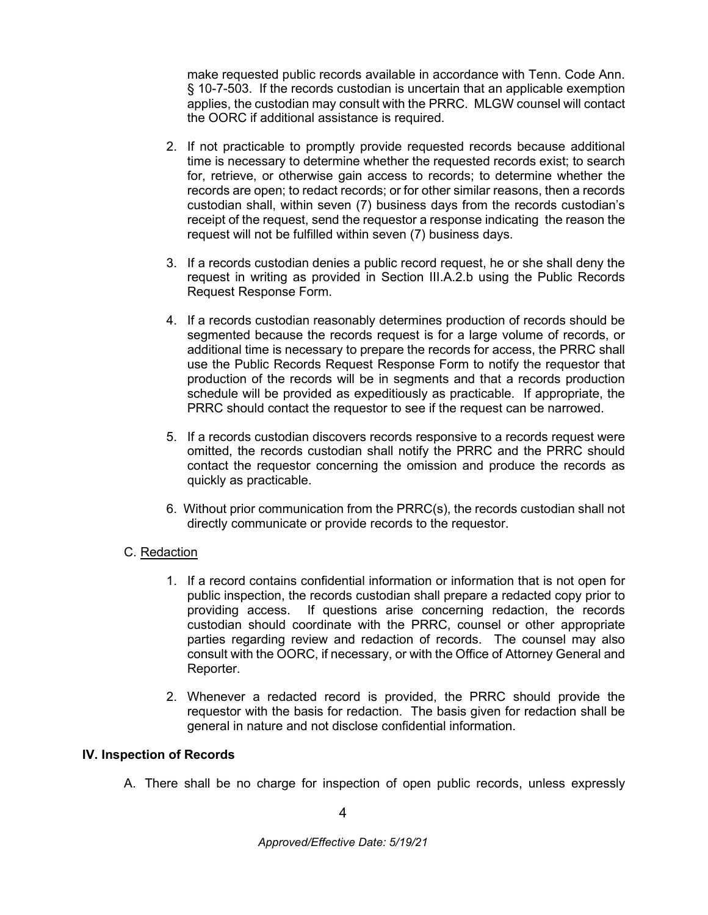make requested public records available in accordance with Tenn. Code Ann. § 10-7-503. If the records custodian is uncertain that an applicable exemption applies, the custodian may consult with the PRRC. MLGW counsel will contact the OORC if additional assistance is required.

- 2. If not practicable to promptly provide requested records because additional time is necessary to determine whether the requested records exist; to search for, retrieve, or otherwise gain access to records; to determine whether the records are open; to redact records; or for other similar reasons, then a records custodian shall, within seven (7) business days from the records custodian's receipt of the request, send the requestor a response indicating the reason the request will not be fulfilled within seven (7) business days.
- 3. If a records custodian denies a public record request, he or she shall deny the request in writing as provided in Section III.A.2.b using the Public Records Request Response Form.
- 4. If a records custodian reasonably determines production of records should be segmented because the records request is for a large volume of records, or additional time is necessary to prepare the records for access, the PRRC shall use the Public Records Request Response Form to notify the requestor that production of the records will be in segments and that a records production schedule will be provided as expeditiously as practicable. If appropriate, the PRRC should contact the requestor to see if the request can be narrowed.
- 5. If a records custodian discovers records responsive to a records request were omitted, the records custodian shall notify the PRRC and the PRRC should contact the requestor concerning the omission and produce the records as quickly as practicable.
- 6. Without prior communication from the PRRC(s), the records custodian shall not directly communicate or provide records to the requestor.

## C. Redaction

- 1. If a record contains confidential information or information that is not open for public inspection, the records custodian shall prepare a redacted copy prior to providing access. If questions arise concerning redaction, the records custodian should coordinate with the PRRC, counsel or other appropriate parties regarding review and redaction of records. The counsel may also consult with the OORC, if necessary, or with the Office of Attorney General and Reporter.
- 2. Whenever a redacted record is provided, the PRRC should provide the requestor with the basis for redaction. The basis given for redaction shall be general in nature and not disclose confidential information.

#### **IV. Inspection of Records**

A. There shall be no charge for inspection of open public records, unless expressly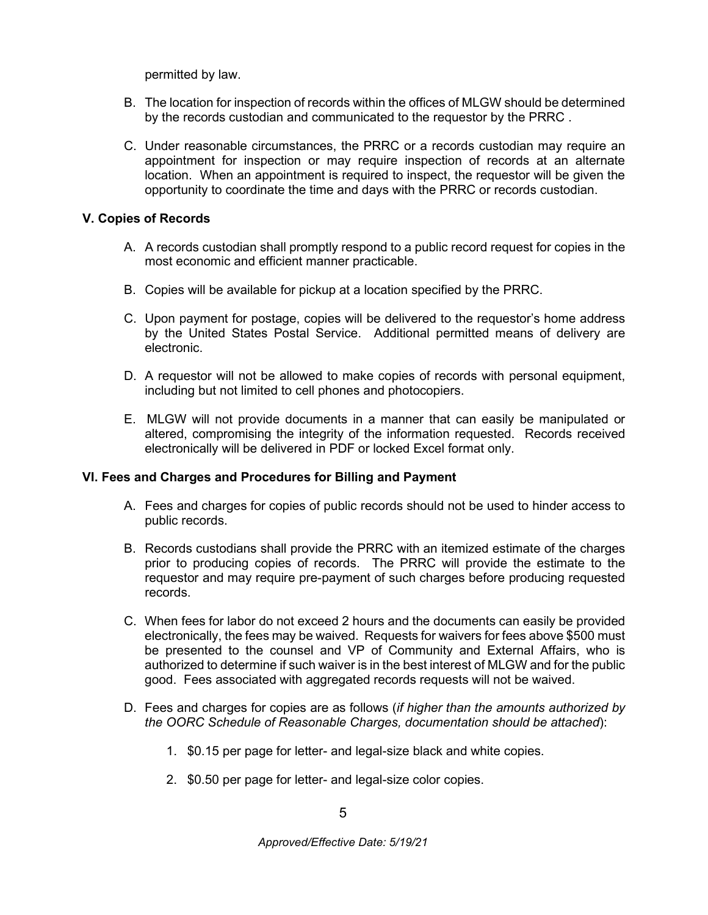permitted by law.

- B. The location for inspection of records within the offices of MLGW should be determined by the records custodian and communicated to the requestor by the PRRC .
- C. Under reasonable circumstances, the PRRC or a records custodian may require an appointment for inspection or may require inspection of records at an alternate location. When an appointment is required to inspect, the requestor will be given the opportunity to coordinate the time and days with the PRRC or records custodian.

#### **V. Copies of Records**

- A. A records custodian shall promptly respond to a public record request for copies in the most economic and efficient manner practicable.
- B. Copies will be available for pickup at a location specified by the PRRC.
- C. Upon payment for postage, copies will be delivered to the requestor's home address by the United States Postal Service. Additional permitted means of delivery are electronic.
- D. A requestor will not be allowed to make copies of records with personal equipment, including but not limited to cell phones and photocopiers.
- E. MLGW will not provide documents in a manner that can easily be manipulated or altered, compromising the integrity of the information requested. Records received electronically will be delivered in PDF or locked Excel format only.

#### **VI. Fees and Charges and Procedures for Billing and Payment**

- A. Fees and charges for copies of public records should not be used to hinder access to public records.
- B. Records custodians shall provide the PRRC with an itemized estimate of the charges prior to producing copies of records. The PRRC will provide the estimate to the requestor and may require pre-payment of such charges before producing requested records.
- C. When fees for labor do not exceed 2 hours and the documents can easily be provided electronically, the fees may be waived. Requests for waivers for fees above \$500 must be presented to the counsel and VP of Community and External Affairs, who is authorized to determine if such waiver is in the best interest of MLGW and for the public good. Fees associated with aggregated records requests will not be waived.
- D. Fees and charges for copies are as follows (*if higher than the amounts authorized by the OORC Schedule of Reasonable Charges, documentation should be attached*):
	- 1. \$0.15 per page for letter- and legal-size black and white copies.
	- 2. \$0.50 per page for letter- and legal-size color copies.